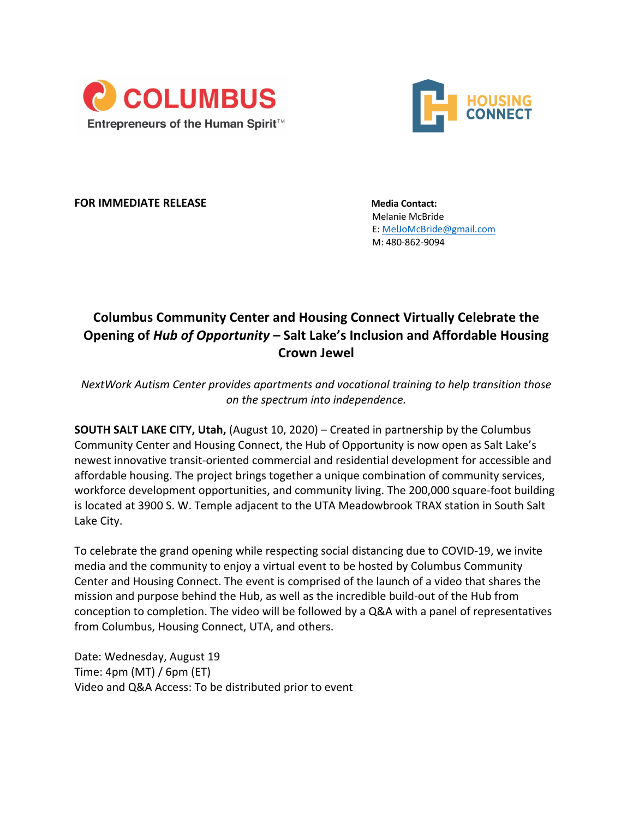



**FOR IMMEDIATE RELEASE Media Contact:** 

Melanie McBride E: MelJoMcBride@gmail.com M: 480-862-9094

## **Columbus Community Center and Housing Connect Virtually Celebrate the Opening of** *Hub of Opportunity –* **Salt Lake's Inclusion and Affordable Housing Crown Jewel**

*NextWork Autism Center provides apartments and vocational training to help transition those on the spectrum into independence.* 

**SOUTH SALT LAKE CITY, Utah,** (August 10, 2020) – Created in partnership by the Columbus Community Center and Housing Connect, the Hub of Opportunity is now open as Salt Lake's newest innovative transit-oriented commercial and residential development for accessible and affordable housing. The project brings together a unique combination of community services, workforce development opportunities, and community living. The 200,000 square-foot building is located at 3900 S. W. Temple adjacent to the UTA Meadowbrook TRAX station in South Salt Lake City.

To celebrate the grand opening while respecting social distancing due to COVID-19, we invite media and the community to enjoy a virtual event to be hosted by Columbus Community Center and Housing Connect. The event is comprised of the launch of a video that shares the mission and purpose behind the Hub, as well as the incredible build-out of the Hub from conception to completion. The video will be followed by a Q&A with a panel of representatives from Columbus, Housing Connect, UTA, and others.

Date: Wednesday, August 19 Time: 4pm (MT) / 6pm (ET) Video and Q&A Access: To be distributed prior to event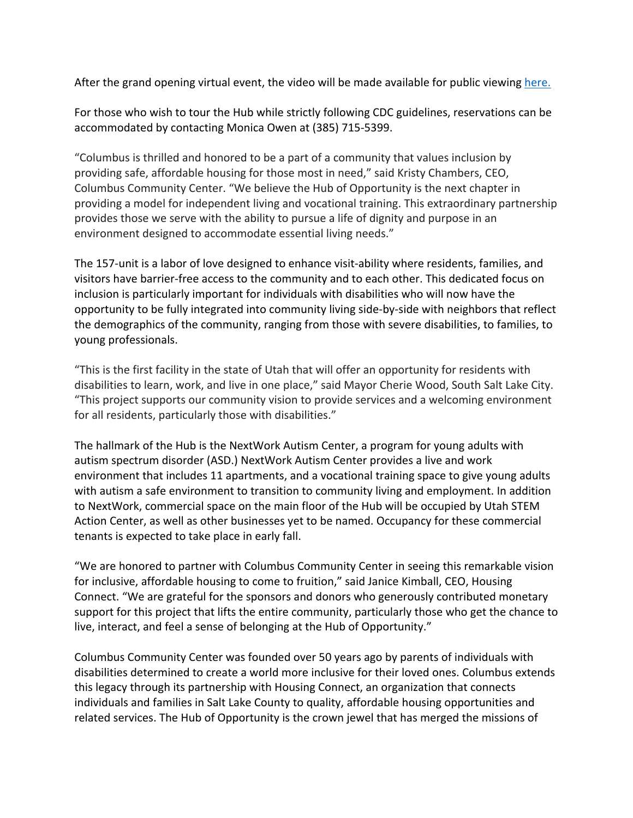After the grand opening virtual event, the video will be made available for public viewing here.

For those who wish to tour the Hub while strictly following CDC guidelines, reservations can be accommodated by contacting Monica Owen at (385) 715-5399.

"Columbus is thrilled and honored to be a part of a community that values inclusion by providing safe, affordable housing for those most in need," said Kristy Chambers, CEO, Columbus Community Center. "We believe the Hub of Opportunity is the next chapter in providing a model for independent living and vocational training. This extraordinary partnership provides those we serve with the ability to pursue a life of dignity and purpose in an environment designed to accommodate essential living needs."

The 157-unit is a labor of love designed to enhance visit-ability where residents, families, and visitors have barrier-free access to the community and to each other. This dedicated focus on inclusion is particularly important for individuals with disabilities who will now have the opportunity to be fully integrated into community living side-by-side with neighbors that reflect the demographics of the community, ranging from those with severe disabilities, to families, to young professionals.

"This is the first facility in the state of Utah that will offer an opportunity for residents with disabilities to learn, work, and live in one place," said Mayor Cherie Wood, South Salt Lake City. "This project supports our community vision to provide services and a welcoming environment for all residents, particularly those with disabilities."

The hallmark of the Hub is the NextWork Autism Center, a program for young adults with autism spectrum disorder (ASD.) NextWork Autism Center provides a live and work environment that includes 11 apartments, and a vocational training space to give young adults with autism a safe environment to transition to community living and employment. In addition to NextWork, commercial space on the main floor of the Hub will be occupied by Utah STEM Action Center, as well as other businesses yet to be named. Occupancy for these commercial tenants is expected to take place in early fall.

"We are honored to partner with Columbus Community Center in seeing this remarkable vision for inclusive, affordable housing to come to fruition," said Janice Kimball, CEO, Housing Connect. "We are grateful for the sponsors and donors who generously contributed monetary support for this project that lifts the entire community, particularly those who get the chance to live, interact, and feel a sense of belonging at the Hub of Opportunity."

Columbus Community Center was founded over 50 years ago by parents of individuals with disabilities determined to create a world more inclusive for their loved ones. Columbus extends this legacy through its partnership with Housing Connect, an organization that connects individuals and families in Salt Lake County to quality, affordable housing opportunities and related services. The Hub of Opportunity is the crown jewel that has merged the missions of